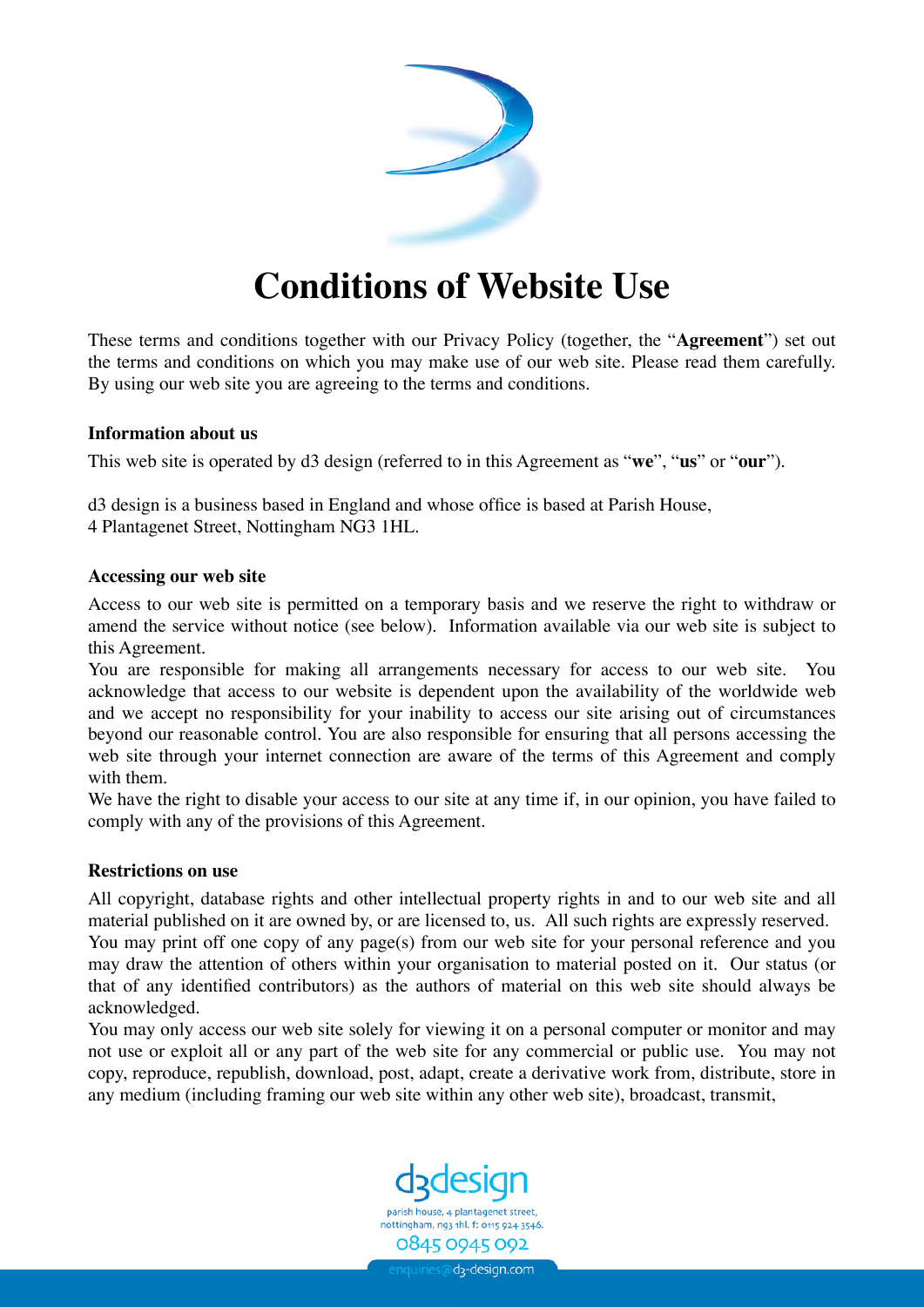

# **Conditions of Website Use**

These terms and conditions together with our Privacy Policy (together, the "**Agreement**") set out the terms and conditions on which you may make use of our web site. Please read them carefully. By using our web site you are agreeing to the terms and conditions.

## **Information about us**

This web site is operated by d3 design (referred to in this Agreement as "**we**", "**us**" or "**our**").

d3 design is a business based in England and whose office is based at Parish House, 4 Plantagenet Street, Nottingham NG3 1HL.

## **Accessing our web site**

Access to our web site is permitted on a temporary basis and we reserve the right to withdraw or amend the service without notice (see below). Information available via our web site is subject to this Agreement.

You are responsible for making all arrangements necessary for access to our web site. You acknowledge that access to our website is dependent upon the availability of the worldwide web and we accept no responsibility for your inability to access our site arising out of circumstances beyond our reasonable control. You are also responsible for ensuring that all persons accessing the web site through your internet connection are aware of the terms of this Agreement and comply with them.

We have the right to disable your access to our site at any time if, in our opinion, you have failed to comply with any of the provisions of this Agreement.

#### **Restrictions on use**

All copyright, database rights and other intellectual property rights in and to our web site and all material published on it are owned by, or are licensed to, us. All such rights are expressly reserved. You may print off one copy of any page(s) from our web site for your personal reference and you may draw the attention of others within your organisation to material posted on it. Our status (or that of any identified contributors) as the authors of material on this web site should always be acknowledged.

You may only access our web site solely for viewing it on a personal computer or monitor and may not use or exploit all or any part of the web site for any commercial or public use. You may not copy, reproduce, republish, download, post, adapt, create a derivative work from, distribute, store in any medium (including framing our web site within any other web site), broadcast, transmit,



nottingham, ng3 1hl. f: 0115 924 3546 0845 0945 092

nquiries@d<sub>3</sub>-design.com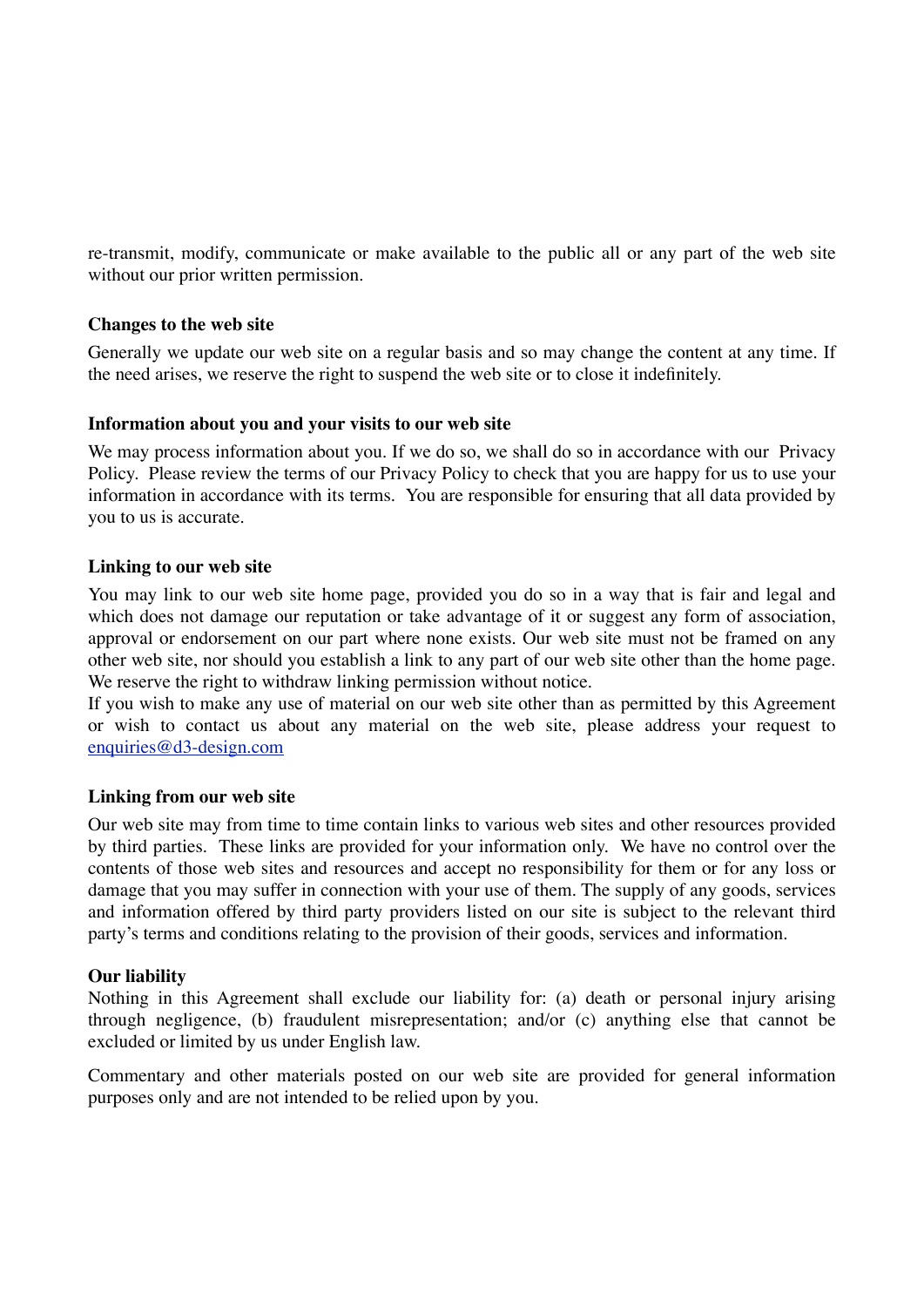re-transmit, modify, communicate or make available to the public all or any part of the web site without our prior written permission.

## **Changes to the web site**

Generally we update our web site on a regular basis and so may change the content at any time. If the need arises, we reserve the right to suspend the web site or to close it indefinitely.

#### **Information about you and your visits to our web site**

We may process information about you. If we do so, we shall do so in accordance with our Privacy Policy. Please review the terms of our Privacy Policy to check that you are happy for us to use your information in accordance with its terms. You are responsible for ensuring that all data provided by you to us is accurate.

## **Linking to our web site**

You may link to our web site home page, provided you do so in a way that is fair and legal and which does not damage our reputation or take advantage of it or suggest any form of association, approval or endorsement on our part where none exists. Our web site must not be framed on any other web site, nor should you establish a link to any part of our web site other than the home page. We reserve the right to withdraw linking permission without notice.

If you wish to make any use of material on our web site other than as permitted by this Agreement or wish to contact us about any material on the web site, please address your request to [enquiries@d3-design.com](mailto:enquiries@d3-design.com)

#### **Linking from our web site**

Our web site may from time to time contain links to various web sites and other resources provided by third parties. These links are provided for your information only. We have no control over the contents of those web sites and resources and accept no responsibility for them or for any loss or damage that you may suffer in connection with your use of them. The supply of any goods, services and information offered by third party providers listed on our site is subject to the relevant third party's terms and conditions relating to the provision of their goods, services and information.

# **Our liability**

Nothing in this Agreement shall exclude our liability for: (a) death or personal injury arising through negligence, (b) fraudulent misrepresentation; and/or (c) anything else that cannot be excluded or limited by us under English law.

Commentary and other materials posted on our web site are provided for general information purposes only and are not intended to be relied upon by you.